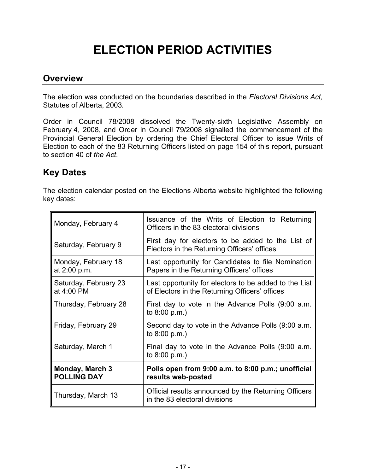# **ELECTION PERIOD ACTIVITIES**

#### **Overview**

The election was conducted on the boundaries described in the *Electoral Divisions Act,*  Statutes of Alberta, 2003*.*

Order in Council 78/2008 dissolved the Twenty-sixth Legislative Assembly on February 4, 2008, and Order in Council 79/2008 signalled the commencement of the Provincial General Election by ordering the Chief Electoral Officer to issue Writs of Election to each of the 83 Returning Officers listed on page 154 of this report, pursuant to section 40 of *the Act*.

#### **Key Dates**

The election calendar posted on the Elections Alberta website highlighted the following key dates:

| Monday, February 4                           | Issuance of the Writs of Election to Returning<br>Officers in the 83 electoral divisions                |
|----------------------------------------------|---------------------------------------------------------------------------------------------------------|
| Saturday, February 9                         | First day for electors to be added to the List of<br>Electors in the Returning Officers' offices        |
| Monday, February 18<br>at 2:00 p.m.          | Last opportunity for Candidates to file Nomination<br>Papers in the Returning Officers' offices         |
| Saturday, February 23<br>at 4:00 PM          | Last opportunity for electors to be added to the List<br>of Electors in the Returning Officers' offices |
| Thursday, February 28                        | First day to vote in the Advance Polls (9:00 a.m.<br>to 8:00 p.m.)                                      |
| Friday, February 29                          | Second day to vote in the Advance Polls (9:00 a.m.<br>to $8:00$ p.m.)                                   |
| Saturday, March 1                            | Final day to vote in the Advance Polls (9:00 a.m.<br>to $8:00$ p.m.)                                    |
| <b>Monday, March 3</b><br><b>POLLING DAY</b> | Polls open from 9:00 a.m. to 8:00 p.m.; unofficial<br>results web-posted                                |
| Thursday, March 13                           | Official results announced by the Returning Officers<br>in the 83 electoral divisions                   |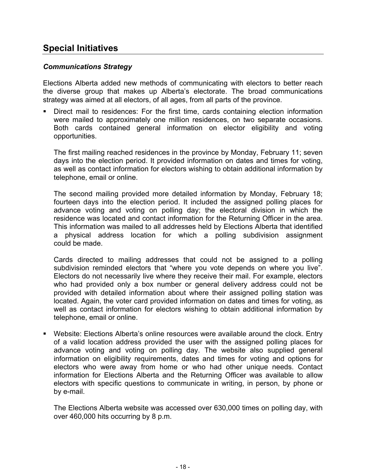## **Special Initiatives**

#### *Communications Strategy*

Elections Alberta added new methods of communicating with electors to better reach the diverse group that makes up Alberta's electorate. The broad communications strategy was aimed at all electors, of all ages, from all parts of the province.

 Direct mail to residences: For the first time, cards containing election information were mailed to approximately one million residences, on two separate occasions. Both cards contained general information on elector eligibility and voting opportunities.

The first mailing reached residences in the province by Monday, February 11; seven days into the election period. It provided information on dates and times for voting, as well as contact information for electors wishing to obtain additional information by telephone, email or online.

The second mailing provided more detailed information by Monday, February 18; fourteen days into the election period. It included the assigned polling places for advance voting and voting on polling day; the electoral division in which the residence was located and contact information for the Returning Officer in the area. This information was mailed to all addresses held by Elections Alberta that identified a physical address location for which a polling subdivision assignment could be made.

Cards directed to mailing addresses that could not be assigned to a polling subdivision reminded electors that "where you vote depends on where you live". Electors do not necessarily live where they receive their mail. For example, electors who had provided only a box number or general delivery address could not be provided with detailed information about where their assigned polling station was located. Again, the voter card provided information on dates and times for voting, as well as contact information for electors wishing to obtain additional information by telephone, email or online.

 Website: Elections Alberta's online resources were available around the clock. Entry of a valid location address provided the user with the assigned polling places for advance voting and voting on polling day. The website also supplied general information on eligibility requirements, dates and times for voting and options for electors who were away from home or who had other unique needs. Contact information for Elections Alberta and the Returning Officer was available to allow electors with specific questions to communicate in writing, in person, by phone or by e-mail.

The Elections Alberta website was accessed over 630,000 times on polling day, with over 460,000 hits occurring by 8 p.m.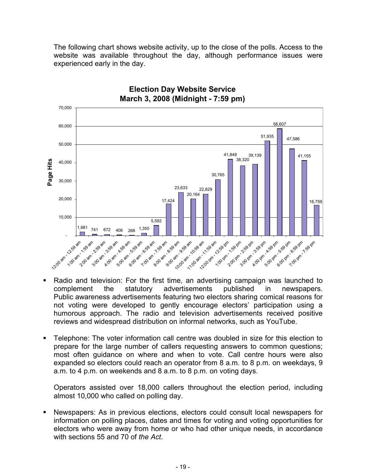The following chart shows website activity, up to the close of the polls. Access to the website was available throughout the day, although performance issues were experienced early in the day.



#### **Election Day Website Service March 3, 2008 (Midnight - 7:59 pm)**

- Radio and television: For the first time, an advertising campaign was launched to complement the statutory advertisements published in newspapers. Public awareness advertisements featuring two electors sharing comical reasons for not voting were developed to gently encourage electors' participation using a humorous approach. The radio and television advertisements received positive reviews and widespread distribution on informal networks, such as YouTube.
- Telephone: The voter information call centre was doubled in size for this election to prepare for the large number of callers requesting answers to common questions; most often guidance on where and when to vote. Call centre hours were also expanded so electors could reach an operator from 8 a.m. to 8 p.m. on weekdays, 9 a.m. to 4 p.m. on weekends and 8 a.m. to 8 p.m. on voting days.

Operators assisted over 18,000 callers throughout the election period, including almost 10,000 who called on polling day.

 Newspapers: As in previous elections, electors could consult local newspapers for information on polling places, dates and times for voting and voting opportunities for electors who were away from home or who had other unique needs, in accordance with sections 55 and 70 of *the Act*.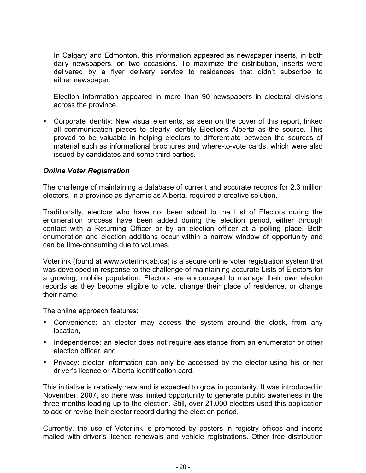In Calgary and Edmonton, this information appeared as newspaper inserts, in both daily newspapers, on two occasions. To maximize the distribution, inserts were delivered by a flyer delivery service to residences that didn't subscribe to either newspaper.

Election information appeared in more than 90 newspapers in electoral divisions across the province.

 Corporate identity: New visual elements, as seen on the cover of this report, linked all communication pieces to clearly identify Elections Alberta as the source. This proved to be valuable in helping electors to differentiate between the sources of material such as informational brochures and where-to-vote cards, which were also issued by candidates and some third parties.

#### *Online Voter Registration*

The challenge of maintaining a database of current and accurate records for 2.3 million electors, in a province as dynamic as Alberta, required a creative solution.

Traditionally, electors who have not been added to the List of Electors during the enumeration process have been added during the election period, either through contact with a Returning Officer or by an election officer at a polling place. Both enumeration and election additions occur within a narrow window of opportunity and can be time-consuming due to volumes.

Voterlink (found at www.voterlink.ab.ca) is a secure online voter registration system that was developed in response to the challenge of maintaining accurate Lists of Electors for a growing, mobile population. Electors are encouraged to manage their own elector records as they become eligible to vote, change their place of residence, or change their name.

The online approach features:

- Convenience: an elector may access the system around the clock, from any location,
- Independence: an elector does not require assistance from an enumerator or other election officer, and
- Privacy: elector information can only be accessed by the elector using his or her driver's licence or Alberta identification card.

This initiative is relatively new and is expected to grow in popularity. It was introduced in November, 2007, so there was limited opportunity to generate public awareness in the three months leading up to the election. Still, over 21,000 electors used this application to add or revise their elector record during the election period.

Currently, the use of Voterlink is promoted by posters in registry offices and inserts mailed with driver's licence renewals and vehicle registrations. Other free distribution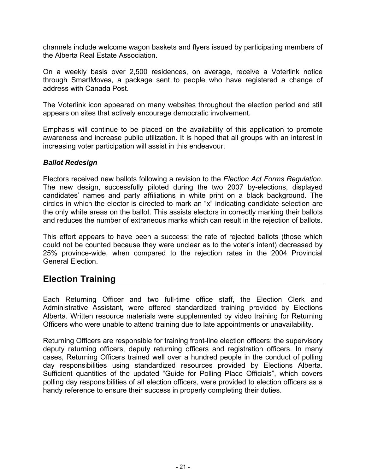channels include welcome wagon baskets and flyers issued by participating members of the Alberta Real Estate Association.

On a weekly basis over 2,500 residences, on average, receive a Voterlink notice through SmartMoves, a package sent to people who have registered a change of address with Canada Post.

The Voterlink icon appeared on many websites throughout the election period and still appears on sites that actively encourage democratic involvement.

Emphasis will continue to be placed on the availability of this application to promote awareness and increase public utilization. It is hoped that all groups with an interest in increasing voter participation will assist in this endeavour.

#### *Ballot Redesign*

Electors received new ballots following a revision to the *Election Act Forms Regulation*. The new design, successfully piloted during the two 2007 by-elections, displayed candidates' names and party affiliations in white print on a black background. The circles in which the elector is directed to mark an "x" indicating candidate selection are the only white areas on the ballot. This assists electors in correctly marking their ballots and reduces the number of extraneous marks which can result in the rejection of ballots.

This effort appears to have been a success: the rate of rejected ballots (those which could not be counted because they were unclear as to the voter's intent) decreased by 25% province-wide, when compared to the rejection rates in the 2004 Provincial General Election.

## **Election Training**

Each Returning Officer and two full-time office staff, the Election Clerk and Administrative Assistant, were offered standardized training provided by Elections Alberta. Written resource materials were supplemented by video training for Returning Officers who were unable to attend training due to late appointments or unavailability.

Returning Officers are responsible for training front-line election officers: the supervisory deputy returning officers, deputy returning officers and registration officers. In many cases, Returning Officers trained well over a hundred people in the conduct of polling day responsibilities using standardized resources provided by Elections Alberta. Sufficient quantities of the updated "Guide for Polling Place Officials", which covers polling day responsibilities of all election officers, were provided to election officers as a handy reference to ensure their success in properly completing their duties.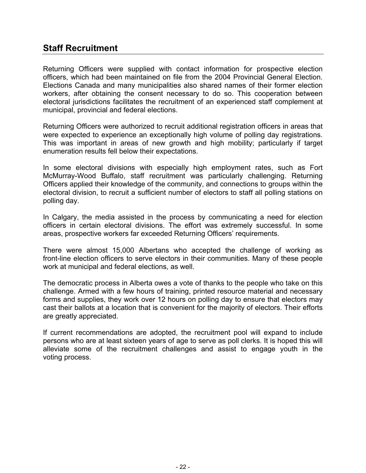# **Staff Recruitment**

Returning Officers were supplied with contact information for prospective election officers, which had been maintained on file from the 2004 Provincial General Election. Elections Canada and many municipalities also shared names of their former election workers, after obtaining the consent necessary to do so. This cooperation between electoral jurisdictions facilitates the recruitment of an experienced staff complement at municipal, provincial and federal elections.

Returning Officers were authorized to recruit additional registration officers in areas that were expected to experience an exceptionally high volume of polling day registrations. This was important in areas of new growth and high mobility; particularly if target enumeration results fell below their expectations.

In some electoral divisions with especially high employment rates, such as Fort McMurray-Wood Buffalo, staff recruitment was particularly challenging. Returning Officers applied their knowledge of the community, and connections to groups within the electoral division, to recruit a sufficient number of electors to staff all polling stations on polling day.

In Calgary, the media assisted in the process by communicating a need for election officers in certain electoral divisions. The effort was extremely successful. In some areas, prospective workers far exceeded Returning Officers' requirements.

There were almost 15,000 Albertans who accepted the challenge of working as front-line election officers to serve electors in their communities. Many of these people work at municipal and federal elections, as well.

The democratic process in Alberta owes a vote of thanks to the people who take on this challenge. Armed with a few hours of training, printed resource material and necessary forms and supplies, they work over 12 hours on polling day to ensure that electors may cast their ballots at a location that is convenient for the majority of electors. Their efforts are greatly appreciated.

If current recommendations are adopted, the recruitment pool will expand to include persons who are at least sixteen years of age to serve as poll clerks. It is hoped this will alleviate some of the recruitment challenges and assist to engage youth in the voting process.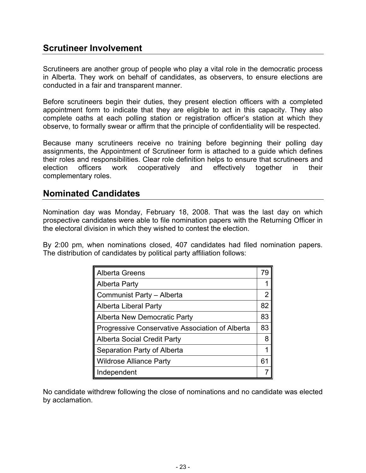# **Scrutineer Involvement**

Scrutineers are another group of people who play a vital role in the democratic process in Alberta. They work on behalf of candidates, as observers, to ensure elections are conducted in a fair and transparent manner.

Before scrutineers begin their duties, they present election officers with a completed appointment form to indicate that they are eligible to act in this capacity. They also complete oaths at each polling station or registration officer's station at which they observe, to formally swear or affirm that the principle of confidentiality will be respected.

Because many scrutineers receive no training before beginning their polling day assignments, the Appointment of Scrutineer form is attached to a guide which defines their roles and responsibilities. Clear role definition helps to ensure that scrutineers and election officers work cooperatively and effectively together in their complementary roles.

#### **Nominated Candidates**

Nomination day was Monday, February 18, 2008. That was the last day on which prospective candidates were able to file nomination papers with the Returning Officer in the electoral division in which they wished to contest the election.

By 2:00 pm, when nominations closed, 407 candidates had filed nomination papers. The distribution of candidates by political party affiliation follows:

| <b>Alberta Greens</b>                           | 79 |
|-------------------------------------------------|----|
| <b>Alberta Party</b>                            |    |
| Communist Party - Alberta                       | 2  |
| <b>Alberta Liberal Party</b>                    | 82 |
| <b>Alberta New Democratic Party</b>             | 83 |
| Progressive Conservative Association of Alberta | 83 |
| <b>Alberta Social Credit Party</b>              | 8  |
| Separation Party of Alberta                     |    |
| <b>Wildrose Alliance Party</b>                  | 61 |
| Independent                                     |    |

No candidate withdrew following the close of nominations and no candidate was elected by acclamation.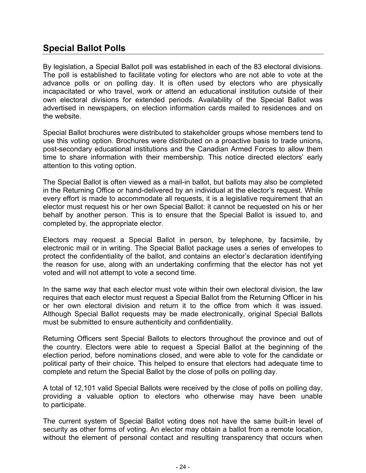# **Special Ballot Polls**

By legislation, a Special Ballot poll was established in each of the 83 electoral divisions. The poll is established to facilitate voting for electors who are not able to vote at the advance polls or on polling day. It is often used by electors who are physically incapacitated or who travel, work or attend an educational institution outside of their own electoral divisions for extended periods. Availability of the Special Ballot was advertised in newspapers, on election information cards mailed to residences and on the website.

Special Ballot brochures were distributed to stakeholder groups whose members tend to use this voting option. Brochures were distributed on a proactive basis to trade unions, post-secondary educational institutions and the Canadian Armed Forces to allow them time to share information with their membership. This notice directed electors' early attention to this voting option.

The Special Ballot is often viewed as a mail-in ballot, but ballots may also be completed in the Returning Office or hand-delivered by an individual at the elector's request. While every effort is made to accommodate all requests, it is a legislative requirement that an elector must request his or her own Special Ballot: it cannot be requested on his or her behalf by another person. This is to ensure that the Special Ballot is issued to, and completed by, the appropriate elector.

Electors may request a Special Ballot in person, by telephone, by facsimile, by electronic mail or in writing. The Special Ballot package uses a series of envelopes to protect the confidentiality of the ballot, and contains an elector's declaration identifying the reason for use, along with an undertaking confirming that the elector has not yet voted and will not attempt to vote a second time.

In the same way that each elector must vote within their own electoral division, the law requires that each elector must request a Special Ballot from the Returning Officer in his or her own electoral division and return it to the office from which it was issued. Although Special Ballot requests may be made electronically, original Special Ballots must be submitted to ensure authenticity and confidentiality.

Returning Officers sent Special Ballots to electors throughout the province and out of the country. Electors were able to request a Special Ballot at the beginning of the election period, before nominations closed, and were able to vote for the candidate or political party of their choice. This helped to ensure that electors had adequate time to complete and return the Special Ballot by the close of polls on polling day.

A total of 12,101 valid Special Ballots were received by the close of polls on polling day, providing a valuable option to electors who otherwise may have been unable to participate.

The current system of Special Ballot voting does not have the same built-in level of security as other forms of voting. An elector may obtain a ballot from a remote location, without the element of personal contact and resulting transparency that occurs when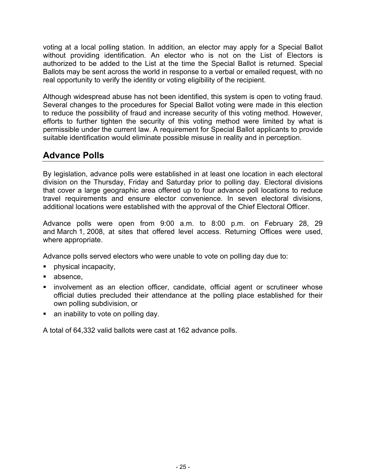voting at a local polling station. In addition, an elector may apply for a Special Ballot without providing identification. An elector who is not on the List of Electors is authorized to be added to the List at the time the Special Ballot is returned. Special Ballots may be sent across the world in response to a verbal or emailed request, with no real opportunity to verify the identity or voting eligibility of the recipient.

Although widespread abuse has not been identified, this system is open to voting fraud. Several changes to the procedures for Special Ballot voting were made in this election to reduce the possibility of fraud and increase security of this voting method. However, efforts to further tighten the security of this voting method were limited by what is permissible under the current law. A requirement for Special Ballot applicants to provide suitable identification would eliminate possible misuse in reality and in perception.

# **Advance Polls**

By legislation, advance polls were established in at least one location in each electoral division on the Thursday, Friday and Saturday prior to polling day. Electoral divisions that cover a large geographic area offered up to four advance poll locations to reduce travel requirements and ensure elector convenience. In seven electoral divisions, additional locations were established with the approval of the Chief Electoral Officer.

Advance polls were open from 9:00 a.m. to 8:00 p.m. on February 28, 29 and March 1, 2008, at sites that offered level access. Returning Offices were used, where appropriate.

Advance polls served electors who were unable to vote on polling day due to:

- physical incapacity,
- absence,
- **EXED** involvement as an election officer, candidate, official agent or scrutineer whose official duties precluded their attendance at the polling place established for their own polling subdivision, or
- an inability to vote on polling day.

A total of 64,332 valid ballots were cast at 162 advance polls.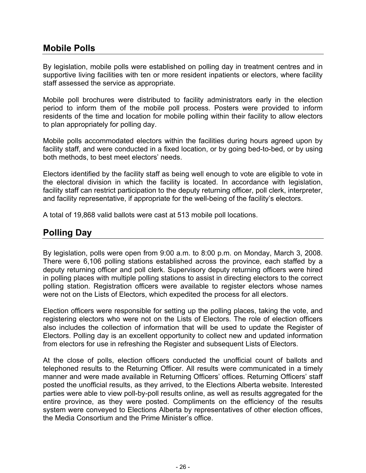#### **Mobile Polls**

By legislation, mobile polls were established on polling day in treatment centres and in supportive living facilities with ten or more resident inpatients or electors, where facility staff assessed the service as appropriate.

Mobile poll brochures were distributed to facility administrators early in the election period to inform them of the mobile poll process. Posters were provided to inform residents of the time and location for mobile polling within their facility to allow electors to plan appropriately for polling day.

Mobile polls accommodated electors within the facilities during hours agreed upon by facility staff, and were conducted in a fixed location, or by going bed-to-bed, or by using both methods, to best meet electors' needs.

Electors identified by the facility staff as being well enough to vote are eligible to vote in the electoral division in which the facility is located. In accordance with legislation, facility staff can restrict participation to the deputy returning officer, poll clerk, interpreter, and facility representative, if appropriate for the well-being of the facility's electors.

A total of 19,868 valid ballots were cast at 513 mobile poll locations.

## **Polling Day**

By legislation, polls were open from 9:00 a.m. to 8:00 p.m. on Monday, March 3, 2008. There were 6,106 polling stations established across the province, each staffed by a deputy returning officer and poll clerk. Supervisory deputy returning officers were hired in polling places with multiple polling stations to assist in directing electors to the correct polling station. Registration officers were available to register electors whose names were not on the Lists of Electors, which expedited the process for all electors.

Election officers were responsible for setting up the polling places, taking the vote, and registering electors who were not on the Lists of Electors. The role of election officers also includes the collection of information that will be used to update the Register of Electors. Polling day is an excellent opportunity to collect new and updated information from electors for use in refreshing the Register and subsequent Lists of Electors.

At the close of polls, election officers conducted the unofficial count of ballots and telephoned results to the Returning Officer. All results were communicated in a timely manner and were made available in Returning Officers' offices. Returning Officers' staff posted the unofficial results, as they arrived, to the Elections Alberta website. Interested parties were able to view poll-by-poll results online, as well as results aggregated for the entire province, as they were posted. Compliments on the efficiency of the results system were conveyed to Elections Alberta by representatives of other election offices, the Media Consortium and the Prime Minister's office.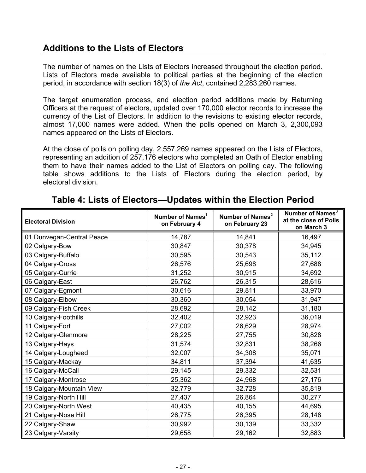# **Additions to the Lists of Electors**

The number of names on the Lists of Electors increased throughout the election period. Lists of Electors made available to political parties at the beginning of the election period, in accordance with section 18(3) of *the Act*, contained 2,283,260 names.

The target enumeration process, and election period additions made by Returning Officers at the request of electors, updated over 170,000 elector records to increase the currency of the List of Electors. In addition to the revisions to existing elector records, almost 17,000 names were added. When the polls opened on March 3, 2,300,093 names appeared on the Lists of Electors.

At the close of polls on polling day, 2,557,269 names appeared on the Lists of Electors, representing an addition of 257,176 electors who completed an Oath of Elector enabling them to have their names added to the List of Electors on polling day. The following table shows additions to the Lists of Electors during the election period, by electoral division.

| <b>Electoral Division</b> | Number of Names <sup>1</sup><br>on February 4 | Number of Names <sup>2</sup><br>on February 23 | Number of Names <sup>3</sup><br>at the close of Polls<br>on March 3 |
|---------------------------|-----------------------------------------------|------------------------------------------------|---------------------------------------------------------------------|
| 01 Dunvegan-Central Peace | 14,787                                        | 14,841                                         | 16,497                                                              |
| 02 Calgary-Bow            | 30,847                                        | 30,378                                         | 34,945                                                              |
| 03 Calgary-Buffalo        | 30,595                                        | 30,543                                         | 35,112                                                              |
| 04 Calgary-Cross          | 26,576                                        | 25,698                                         | 27,688                                                              |
| 05 Calgary-Currie         | 31,252                                        | 30,915                                         | 34,692                                                              |
| 06 Calgary-East           | 26,762                                        | 26,315                                         | 28,616                                                              |
| 07 Calgary-Egmont         | 30,616                                        | 29,811                                         | 33,970                                                              |
| 08 Calgary-Elbow          | 30,360                                        | 30,054                                         | 31,947                                                              |
| 09 Calgary-Fish Creek     | 28,692                                        | 28,142                                         | 31,180                                                              |
| 10 Calgary-Foothills      | 32,402                                        | 32,923                                         | 36,019                                                              |
| 11 Calgary-Fort           | 27,002                                        | 26,629                                         | 28,974                                                              |
| 12 Calgary-Glenmore       | 28,225                                        | 27,755                                         | 30,828                                                              |
| 13 Calgary-Hays           | 31,574                                        | 32,831                                         | 38,266                                                              |
| 14 Calgary-Lougheed       | 32,007                                        | 34,308                                         | 35,071                                                              |
| 15 Calgary-Mackay         | 34,811                                        | 37,394                                         | 41,635                                                              |
| 16 Calgary-McCall         | 29,145                                        | 29,332                                         | 32,531                                                              |
| 17 Calgary-Montrose       | 25,362                                        | 24,968                                         | 27,176                                                              |
| 18 Calgary-Mountain View  | 32,779                                        | 32,728                                         | 35,819                                                              |
| 19 Calgary-North Hill     | 27,437                                        | 26,864                                         | 30,277                                                              |
| 20 Calgary-North West     | 40,435                                        | 40,155                                         | 44,695                                                              |
| 21 Calgary-Nose Hill      | 26,775                                        | 26,395                                         | 28,148                                                              |
| 22 Calgary-Shaw           | 30,992                                        | 30,139                                         | 33,332                                                              |
| 23 Calgary-Varsity        | 29,658                                        | 29,162                                         | 32,883                                                              |

#### **Table 4: Lists of Electors—Updates within the Election Period**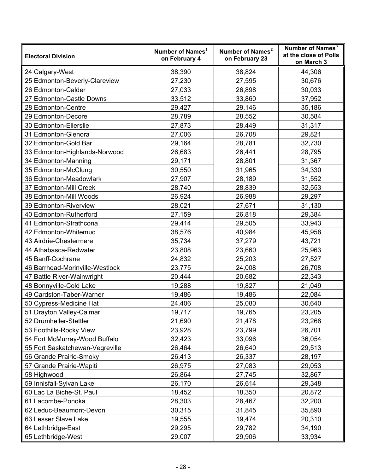| <b>Electoral Division</b>       | Number of Names <sup>1</sup><br>on February 4 | Number of Names <sup>2</sup><br>on February 23 | Number of Names <sup>3</sup><br>at the close of Polls<br>on March 3 |
|---------------------------------|-----------------------------------------------|------------------------------------------------|---------------------------------------------------------------------|
| 24 Calgary-West                 | 38,390                                        | 38,824                                         | 44,306                                                              |
| 25 Edmonton-Beverly-Clareview   | 27,230                                        | 27,595                                         | 30,676                                                              |
| 26 Edmonton-Calder              | 27,033                                        | 26,898                                         | 30,033                                                              |
| 27 Edmonton-Castle Downs        | 33,512                                        | 33,860                                         | 37,952                                                              |
| 28 Edmonton-Centre              | 29,427                                        | 29,146                                         | 35,186                                                              |
| 29 Edmonton-Decore              | 28,789                                        | 28,552                                         | 30,584                                                              |
| 30 Edmonton-Ellerslie           | 27,873                                        | 28,449                                         | 31,317                                                              |
| 31 Edmonton-Glenora             | 27,006                                        | 26,708                                         | 29,821                                                              |
| 32 Edmonton-Gold Bar            | 29,164                                        | 28,781                                         | 32,730                                                              |
| 33 Edmonton-Highlands-Norwood   | 26,683                                        | 26,441                                         | 28,795                                                              |
| 34 Edmonton-Manning             | 29,171                                        | 28,801                                         | 31,367                                                              |
| 35 Edmonton-McClung             | 30,550                                        | 31,965                                         | 34,330                                                              |
| 36 Edmonton-Meadowlark          | 27,907                                        | 28,189                                         | 31,552                                                              |
| 37 Edmonton-Mill Creek          | 28,740                                        | 28,839                                         | 32,553                                                              |
| 38 Edmonton-Mill Woods          | 26,924                                        | 26,988                                         | 29,297                                                              |
| 39 Edmonton-Riverview           | 28,021                                        | 27,671                                         | 31,130                                                              |
| 40 Edmonton-Rutherford          | 27,159                                        | 26,818                                         | 29,384                                                              |
| 41 Edmonton-Strathcona          | 29,414                                        | 29,505                                         | 33,943                                                              |
| 42 Edmonton-Whitemud            | 38,576                                        | 40,984                                         | 45,958                                                              |
| 43 Airdrie-Chestermere          | 35,734                                        | 37,279                                         | 43,721                                                              |
| 44 Athabasca-Redwater           | 23,808                                        | 23,660                                         | 25,963                                                              |
| 45 Banff-Cochrane               | 24,832                                        | 25,203                                         | 27,527                                                              |
| 46 Barrhead-Morinville-Westlock | 23,775                                        | 24,008                                         | 26,708                                                              |
| 47 Battle River-Wainwright      | 20,444                                        | 20,682                                         | 22,343                                                              |
| 48 Bonnyville-Cold Lake         | 19,288                                        | 19,827                                         | 21,049                                                              |
| 49 Cardston-Taber-Warner        | 19,486                                        | 19,486                                         | 22,084                                                              |
| 50 Cypress-Medicine Hat         | 24,406                                        | 25,080                                         | 30,640                                                              |
| 51 Drayton Valley-Calmar        | 19,717                                        | 19,765                                         | 23,205                                                              |
| 52 Drumheller-Stettler          | 21,690                                        | 21,478                                         | 23,268                                                              |
| 53 Foothills-Rocky View         | 23,928                                        | 23,799                                         | 26,701                                                              |
| 54 Fort McMurray-Wood Buffalo   | 32,423                                        | 33,096                                         | 36,054                                                              |
| 55 Fort Saskatchewan-Vegreville | 26,464                                        | 26,640                                         | 29,513                                                              |
| 56 Grande Prairie-Smoky         | 26,413                                        | 26,337                                         | 28,197                                                              |
| 57 Grande Prairie-Wapiti        | 26,975                                        | 27,083                                         | 29,053                                                              |
| 58 Highwood                     | 26,864                                        | 27,745                                         | 32,867                                                              |
| 59 Innisfail-Sylvan Lake        | 26,170                                        | 26,614                                         | 29,348                                                              |
| 60 Lac La Biche-St. Paul        | 18,452                                        | 18,350                                         | 20,872                                                              |
| 61 Lacombe-Ponoka               | 28,303                                        | 28,467                                         | 32,200                                                              |
| 62 Leduc-Beaumont-Devon         | 30,315                                        | 31,845                                         | 35,890                                                              |
| 63 Lesser Slave Lake            | 19,555                                        | 19,474                                         | 20,310                                                              |
| 64 Lethbridge-East              | 29,295                                        | 29,782                                         | 34,190                                                              |
| 65 Lethbridge-West              | 29,007                                        | 29,906                                         | 33,934                                                              |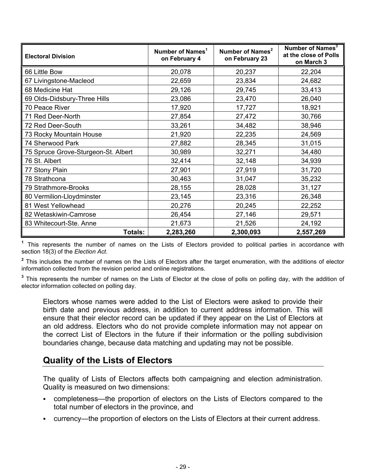| <b>Electoral Division</b>           | Number of Names <sup>1</sup><br>on February 4 | Number of Names <sup>2</sup><br>on February 23 | Number of Names <sup>3</sup><br>at the close of Polls<br>on March 3 |
|-------------------------------------|-----------------------------------------------|------------------------------------------------|---------------------------------------------------------------------|
| 66 Little Bow                       | 20,078                                        | 20,237                                         | 22,204                                                              |
| 67 Livingstone-Macleod              | 22,659                                        | 23,834                                         | 24,682                                                              |
| 68 Medicine Hat                     | 29,126                                        | 29,745                                         | 33,413                                                              |
| 69 Olds-Didsbury-Three Hills        | 23,086                                        | 23,470                                         | 26,040                                                              |
| 70 Peace River                      | 17,920                                        | 17,727                                         | 18,921                                                              |
| 71 Red Deer-North                   | 27,854                                        | 27,472                                         | 30,766                                                              |
| 72 Red Deer-South                   | 33,261                                        | 34,482                                         | 38,946                                                              |
| 73 Rocky Mountain House             | 21,920                                        | 22,235                                         | 24,569                                                              |
| 74 Sherwood Park                    | 27,882                                        | 28,345                                         | 31,015                                                              |
| 75 Spruce Grove-Sturgeon-St. Albert | 30,989                                        | 32,271                                         | 34,480                                                              |
| 76 St. Albert                       | 32,414                                        | 32,148                                         | 34,939                                                              |
| 77 Stony Plain                      | 27,901                                        | 27,919                                         | 31,720                                                              |
| 78 Strathcona                       | 30,463                                        | 31,047                                         | 35,232                                                              |
| 79 Strathmore-Brooks                | 28,155                                        | 28,028                                         | 31,127                                                              |
| 80 Vermilion-Lloydminster           | 23,145                                        | 23,316                                         | 26,348                                                              |
| 81 West Yellowhead                  | 20,276                                        | 20,245                                         | 22,252                                                              |
| 82 Wetaskiwin-Camrose               | 26,454                                        | 27,146                                         | 29,571                                                              |
| 83 Whitecourt-Ste. Anne             | 21,673                                        | 21,526                                         | 24,192                                                              |
| Totals:                             | 2,283,260                                     | 2,300,093                                      | 2,557,269                                                           |

**<sup>1</sup>** This represents the number of names on the Lists of Electors provided to political parties in accordance with section 18(3) of the *Election Act*.

<sup>2</sup> This includes the number of names on the Lists of Electors after the target enumeration, with the additions of elector information collected from the revision period and online registrations.

**3** This represents the number of names on the Lists of Elector at the close of polls on polling day, with the addition of elector information collected on polling day.

Electors whose names were added to the List of Electors were asked to provide their birth date and previous address, in addition to current address information. This will ensure that their elector record can be updated if they appear on the List of Electors at an old address. Electors who do not provide complete information may not appear on the correct List of Electors in the future if their information or the polling subdivision boundaries change, because data matching and updating may not be possible.

## **Quality of the Lists of Electors**

The quality of Lists of Electors affects both campaigning and election administration. Quality is measured on two dimensions:

- completeness—the proportion of electors on the Lists of Electors compared to the total number of electors in the province, and
- currency—the proportion of electors on the Lists of Electors at their current address.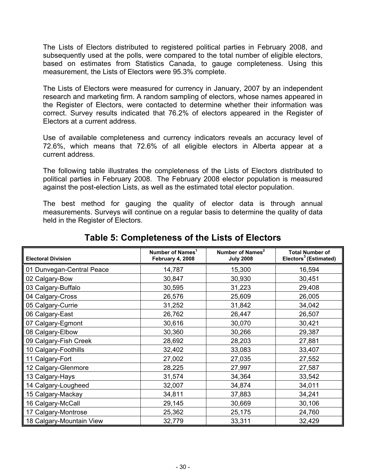The Lists of Electors distributed to registered political parties in February 2008, and subsequently used at the polls, were compared to the total number of eligible electors, based on estimates from Statistics Canada, to gauge completeness. Using this measurement, the Lists of Electors were 95.3% complete.

The Lists of Electors were measured for currency in January, 2007 by an independent research and marketing firm. A random sampling of electors, whose names appeared in the Register of Electors, were contacted to determine whether their information was correct. Survey results indicated that 76.2% of electors appeared in the Register of Electors at a current address.

Use of available completeness and currency indicators reveals an accuracy level of 72.6%, which means that 72.6% of all eligible electors in Alberta appear at a current address.

The following table illustrates the completeness of the Lists of Electors distributed to political parties in February 2008. The February 2008 elector population is measured against the post-election Lists, as well as the estimated total elector population.

The best method for gauging the quality of elector data is through annual measurements. Surveys will continue on a regular basis to determine the quality of data held in the Register of Electors.

| <b>Electoral Division</b> | Number of Names <sup>1</sup><br>February 4, 2008 | Number of Names <sup>2</sup><br><b>July 2008</b> | <b>Total Number of</b><br>Electors <sup>3</sup> (Estimated) |
|---------------------------|--------------------------------------------------|--------------------------------------------------|-------------------------------------------------------------|
| 01 Dunvegan-Central Peace | 14,787                                           | 15,300                                           | 16,594                                                      |
| 02 Calgary-Bow            | 30,847                                           | 30,930                                           | 30,451                                                      |
| 03 Calgary-Buffalo        | 30,595                                           | 31,223                                           | 29,408                                                      |
| 04 Calgary-Cross          | 26,576                                           | 25,609                                           | 26,005                                                      |
| 05 Calgary-Currie         | 31,252                                           | 31,842                                           | 34,042                                                      |
| 06 Calgary-East           | 26,762                                           | 26,447                                           | 26,507                                                      |
| 07 Calgary-Egmont         | 30,616                                           | 30,070                                           | 30,421                                                      |
| 08 Calgary-Elbow          | 30,360                                           | 30,266                                           | 29,387                                                      |
| 09 Calgary-Fish Creek     | 28,692                                           | 28,203                                           | 27,881                                                      |
| 10 Calgary-Foothills      | 32,402                                           | 33,083                                           | 33,407                                                      |
| 11 Calgary-Fort           | 27,002                                           | 27,035                                           | 27,552                                                      |
| 12 Calgary-Glenmore       | 28,225                                           | 27,997                                           | 27,587                                                      |
| 13 Calgary-Hays           | 31,574                                           | 34,364                                           | 33,542                                                      |
| 14 Calgary-Lougheed       | 32,007                                           | 34,874                                           | 34,011                                                      |
| 15 Calgary-Mackay         | 34,811                                           | 37,883                                           | 34,241                                                      |
| 16 Calgary-McCall         | 29,145                                           | 30,669                                           | 30,106                                                      |
| 17 Calgary-Montrose       | 25,362                                           | 25,175                                           | 24,760                                                      |
| 18 Calgary-Mountain View  | 32,779                                           | 33,311                                           | 32,429                                                      |

# **Table 5: Completeness of the Lists of Electors**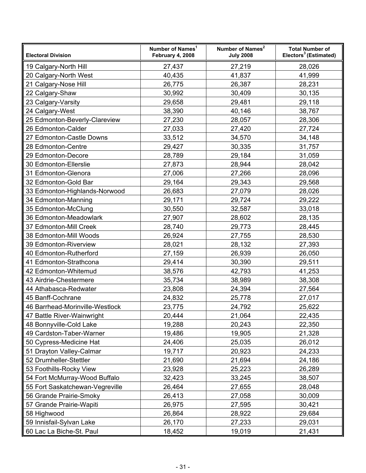| <b>Electoral Division</b>       | Number of Names <sup>1</sup><br>February 4, 2008 | Number of Names <sup>2</sup><br><b>July 2008</b> | <b>Total Number of</b><br>Electors <sup>3</sup> (Estimated) |
|---------------------------------|--------------------------------------------------|--------------------------------------------------|-------------------------------------------------------------|
| 19 Calgary-North Hill           | 27,437                                           | 27,219                                           | 28,026                                                      |
| 20 Calgary-North West           | 40,435                                           | 41,837                                           | 41,999                                                      |
| 21 Calgary-Nose Hill            | 26,775                                           | 26,387                                           | 28,231                                                      |
| 22 Calgary-Shaw                 | 30,992                                           | 30,409                                           | 30,135                                                      |
| 23 Calgary-Varsity              | 29,658                                           | 29,481                                           | 29,118                                                      |
| 24 Calgary-West                 | 38,390                                           | 40,146                                           | 38,767                                                      |
| 25 Edmonton-Beverly-Clareview   | 27,230                                           | 28,057                                           | 28,306                                                      |
| 26 Edmonton-Calder              | 27,033                                           | 27,420                                           | 27,724                                                      |
| 27 Edmonton-Castle Downs        | 33,512                                           | 34,570                                           | 34,148                                                      |
| 28 Edmonton-Centre              | 29,427                                           | 30,335                                           | 31,757                                                      |
| 29 Edmonton-Decore              | 28,789                                           | 29,184                                           | 31,059                                                      |
| 30 Edmonton-Ellerslie           | 27,873                                           | 28,944                                           | 28,042                                                      |
| 31 Edmonton-Glenora             | 27,006                                           | 27,266                                           | 28,096                                                      |
| 32 Edmonton-Gold Bar            | 29,164                                           | 29,343                                           | 29,568                                                      |
| 33 Edmonton-Highlands-Norwood   | 26,683                                           | 27,079                                           | 28,026                                                      |
| 34 Edmonton-Manning             | 29,171                                           | 29,724                                           | 29,222                                                      |
| 35 Edmonton-McClung             | 30,550                                           | 32,587                                           | 33,018                                                      |
| 36 Edmonton-Meadowlark          | 27,907                                           | 28,602                                           | 28,135                                                      |
| 37 Edmonton-Mill Creek          | 28,740                                           | 29,773                                           | 28,445                                                      |
| 38 Edmonton-Mill Woods          | 26,924                                           | 27,755                                           | 28,530                                                      |
| 39 Edmonton-Riverview           | 28,021                                           | 28,132                                           | 27,393                                                      |
| 40 Edmonton-Rutherford          | 27,159                                           | 26,939                                           | 26,050                                                      |
| 41 Edmonton-Strathcona          | 29,414                                           | 30,390                                           | 29,511                                                      |
| 42 Edmonton-Whitemud            | 38,576                                           | 42,793                                           | 41,253                                                      |
| 43 Airdrie-Chestermere          | 35,734                                           | 38,989                                           | 38,308                                                      |
| 44 Athabasca-Redwater           | 23,808                                           | 24,394                                           | 27,564                                                      |
| 45 Banff-Cochrane               | 24,832                                           | 25,778                                           | 27,017                                                      |
| 46 Barrhead-Morinville-Westlock | 23,775                                           | 24,792                                           | 25,622                                                      |
| 47 Battle River-Wainwright      | 20,444                                           | 21,064                                           | 22,435                                                      |
| 48 Bonnyville-Cold Lake         | 19,288                                           | 20,243                                           | 22,350                                                      |
| 49 Cardston-Taber-Warner        | 19,486                                           | 19,905                                           | 21,328                                                      |
| 50 Cypress-Medicine Hat         | 24,406                                           | 25,035                                           | 26,012                                                      |
| 51 Drayton Valley-Calmar        | 19,717                                           | 20,923                                           | 24,233                                                      |
| 52 Drumheller-Stettler          | 21,690                                           | 21,694                                           | 24,186                                                      |
| 53 Foothills-Rocky View         | 23,928                                           | 25,223                                           | 26,289                                                      |
| 54 Fort McMurray-Wood Buffalo   | 32,423                                           | 33,245                                           | 38,507                                                      |
| 55 Fort Saskatchewan-Vegreville | 26,464                                           | 27,655                                           | 28,048                                                      |
| 56 Grande Prairie-Smoky         | 26,413                                           | 27,058                                           | 30,009                                                      |
| 57 Grande Prairie-Wapiti        | 26,975                                           | 27,595                                           | 30,421                                                      |
| 58 Highwood                     | 26,864                                           | 28,922                                           | 29,684                                                      |
| 59 Innisfail-Sylvan Lake        | 26,170                                           | 27,233                                           | 29,031                                                      |
| 60 Lac La Biche-St. Paul        | 18,452                                           | 19,019                                           | 21,431                                                      |